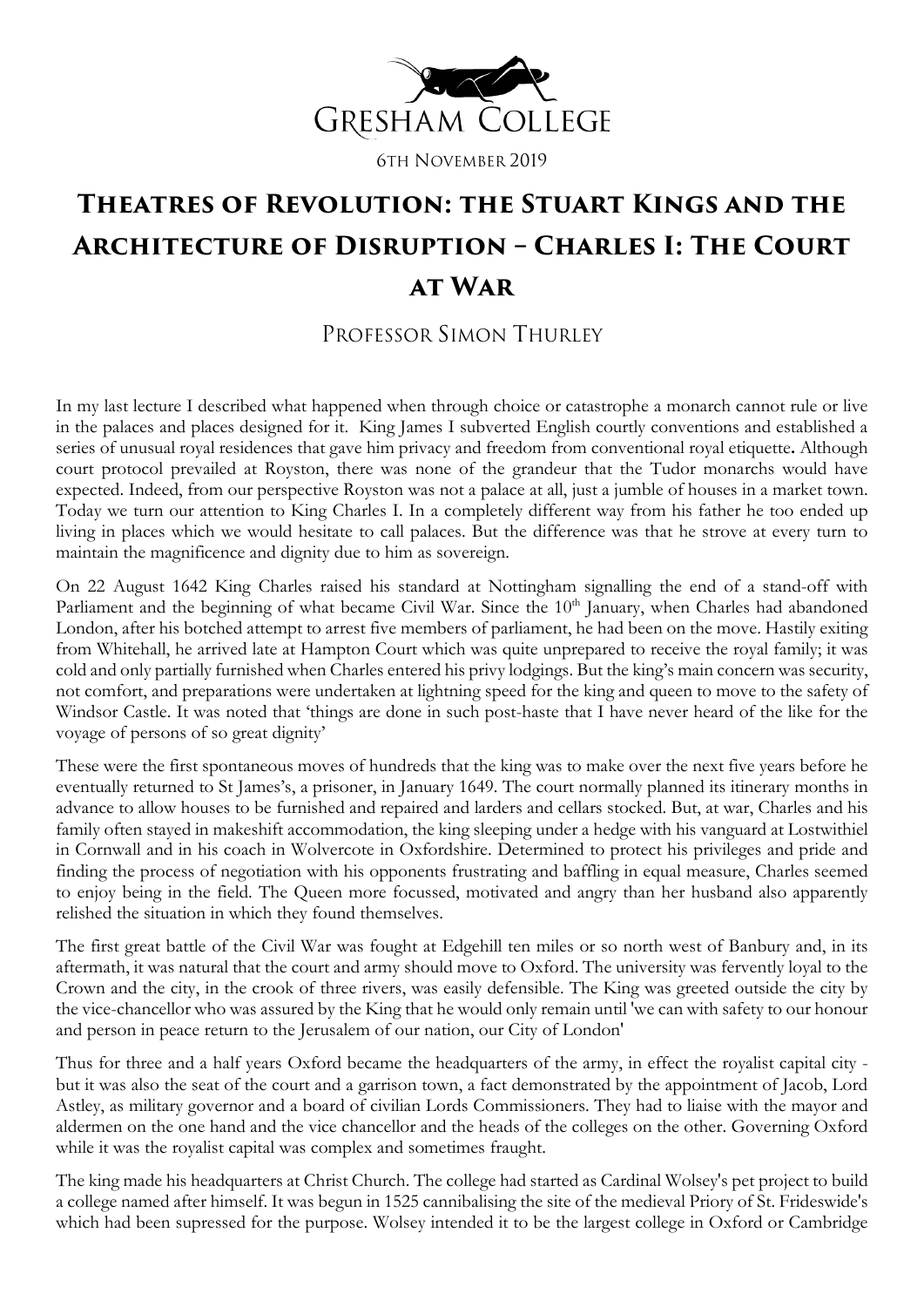

6TH NOVEMBER 2019

## **Theatres of Revolution: the Stuart Kings and the Architecture of Disruption – Charles I: The Court at War**

## PROFESSOR SIMON THURLEY

In my last lecture I described what happened when through choice or catastrophe a monarch cannot rule or live in the palaces and places designed for it. King James I subverted English courtly conventions and established a series of unusual royal residences that gave him privacy and freedom from conventional royal etiquette**.** Although court protocol prevailed at Royston, there was none of the grandeur that the Tudor monarchs would have expected. Indeed, from our perspective Royston was not a palace at all, just a jumble of houses in a market town. Today we turn our attention to King Charles I. In a completely different way from his father he too ended up living in places which we would hesitate to call palaces. But the difference was that he strove at every turn to maintain the magnificence and dignity due to him as sovereign.

On 22 August 1642 King Charles raised his standard at Nottingham signalling the end of a stand-off with Parliament and the beginning of what became Civil War. Since the 10<sup>th</sup> January, when Charles had abandoned London, after his botched attempt to arrest five members of parliament, he had been on the move. Hastily exiting from Whitehall, he arrived late at Hampton Court which was quite unprepared to receive the royal family; it was cold and only partially furnished when Charles entered his privy lodgings. But the king's main concern was security, not comfort, and preparations were undertaken at lightning speed for the king and queen to move to the safety of Windsor Castle. It was noted that 'things are done in such post-haste that I have never heard of the like for the voyage of persons of so great dignity'

These were the first spontaneous moves of hundreds that the king was to make over the next five years before he eventually returned to St James's, a prisoner, in January 1649. The court normally planned its itinerary months in advance to allow houses to be furnished and repaired and larders and cellars stocked. But, at war, Charles and his family often stayed in makeshift accommodation, the king sleeping under a hedge with his vanguard at Lostwithiel in Cornwall and in his coach in Wolvercote in Oxfordshire. Determined to protect his privileges and pride and finding the process of negotiation with his opponents frustrating and baffling in equal measure, Charles seemed to enjoy being in the field. The Queen more focussed, motivated and angry than her husband also apparently relished the situation in which they found themselves.

The first great battle of the Civil War was fought at Edgehill ten miles or so north west of Banbury and, in its aftermath, it was natural that the court and army should move to Oxford. The university was fervently loyal to the Crown and the city, in the crook of three rivers, was easily defensible. The King was greeted outside the city by the vice-chancellor who was assured by the King that he would only remain until 'we can with safety to our honour and person in peace return to the Jerusalem of our nation, our City of London'

Thus for three and a half years Oxford became the headquarters of the army, in effect the royalist capital city but it was also the seat of the court and a garrison town, a fact demonstrated by the appointment of Jacob, Lord Astley, as military governor and a board of civilian Lords Commissioners. They had to liaise with the mayor and aldermen on the one hand and the vice chancellor and the heads of the colleges on the other. Governing Oxford while it was the royalist capital was complex and sometimes fraught.

The king made his headquarters at Christ Church. The college had started as Cardinal Wolsey's pet project to build a college named after himself. It was begun in 1525 cannibalising the site of the medieval Priory of St. Frideswide's which had been supressed for the purpose. Wolsey intended it to be the largest college in Oxford or Cambridge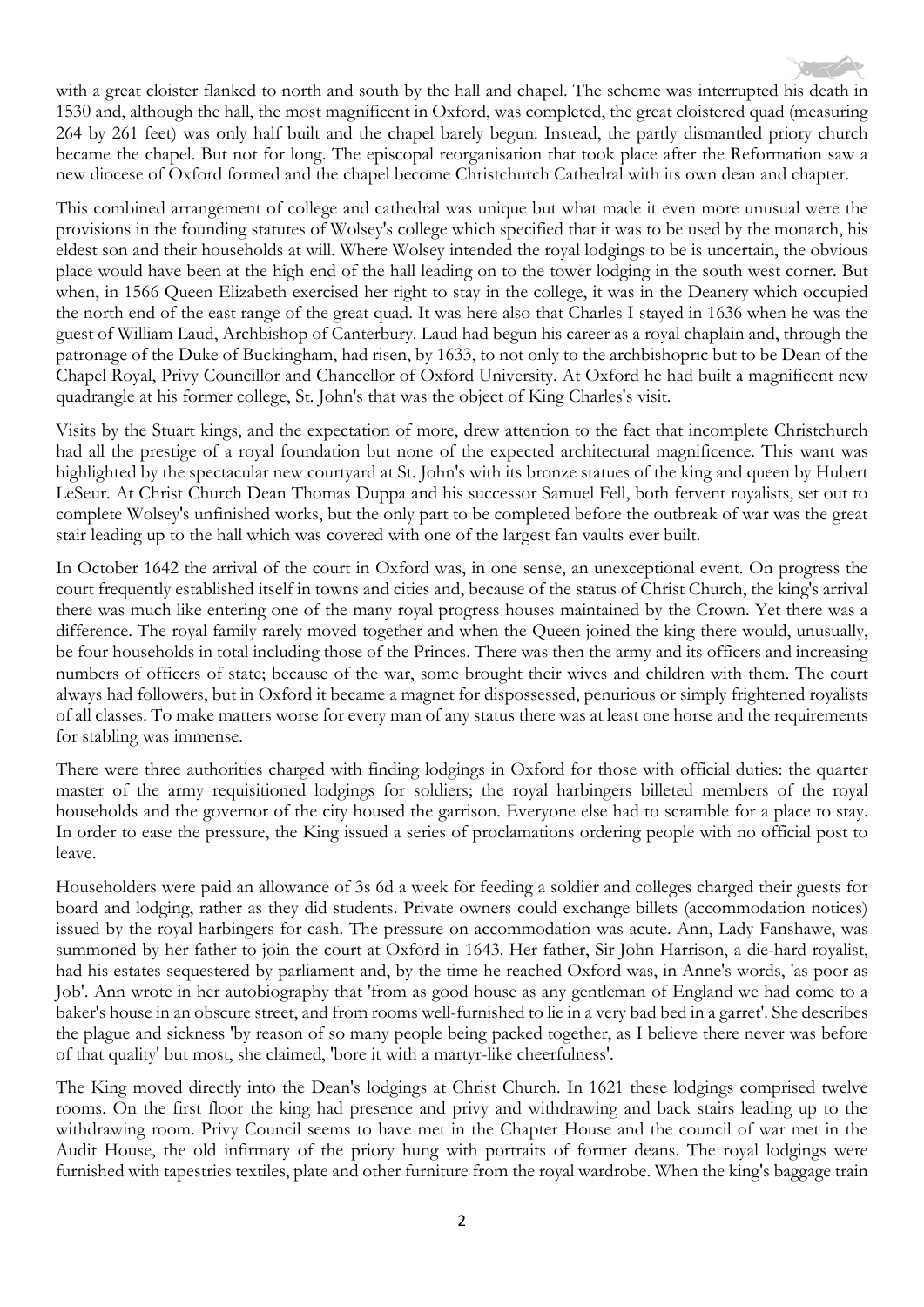with a great cloister flanked to north and south by the hall and chapel. The scheme was interrupted his death in 1530 and, although the hall, the most magnificent in Oxford, was completed, the great cloistered quad (measuring 264 by 261 feet) was only half built and the chapel barely begun. Instead, the partly dismantled priory church became the chapel. But not for long. The episcopal reorganisation that took place after the Reformation saw a new diocese of Oxford formed and the chapel become Christchurch Cathedral with its own dean and chapter.

This combined arrangement of college and cathedral was unique but what made it even more unusual were the provisions in the founding statutes of Wolsey's college which specified that it was to be used by the monarch, his eldest son and their households at will. Where Wolsey intended the royal lodgings to be is uncertain, the obvious place would have been at the high end of the hall leading on to the tower lodging in the south west corner. But when, in 1566 Queen Elizabeth exercised her right to stay in the college, it was in the Deanery which occupied the north end of the east range of the great quad. It was here also that Charles I stayed in 1636 when he was the guest of William Laud, Archbishop of Canterbury. Laud had begun his career as a royal chaplain and, through the patronage of the Duke of Buckingham, had risen, by 1633, to not only to the archbishopric but to be Dean of the Chapel Royal, Privy Councillor and Chancellor of Oxford University. At Oxford he had built a magnificent new quadrangle at his former college, St. John's that was the object of King Charles's visit.

Visits by the Stuart kings, and the expectation of more, drew attention to the fact that incomplete Christchurch had all the prestige of a royal foundation but none of the expected architectural magnificence. This want was highlighted by the spectacular new courtyard at St. John's with its bronze statues of the king and queen by Hubert LeSeur. At Christ Church Dean Thomas Duppa and his successor Samuel Fell, both fervent royalists, set out to complete Wolsey's unfinished works, but the only part to be completed before the outbreak of war was the great stair leading up to the hall which was covered with one of the largest fan vaults ever built.

In October 1642 the arrival of the court in Oxford was, in one sense, an unexceptional event. On progress the court frequently established itself in towns and cities and, because of the status of Christ Church, the king's arrival there was much like entering one of the many royal progress houses maintained by the Crown. Yet there was a difference. The royal family rarely moved together and when the Queen joined the king there would, unusually, be four households in total including those of the Princes. There was then the army and its officers and increasing numbers of officers of state; because of the war, some brought their wives and children with them. The court always had followers, but in Oxford it became a magnet for dispossessed, penurious or simply frightened royalists of all classes. To make matters worse for every man of any status there was at least one horse and the requirements for stabling was immense.

There were three authorities charged with finding lodgings in Oxford for those with official duties: the quarter master of the army requisitioned lodgings for soldiers; the royal harbingers billeted members of the royal households and the governor of the city housed the garrison. Everyone else had to scramble for a place to stay. In order to ease the pressure, the King issued a series of proclamations ordering people with no official post to leave.

Householders were paid an allowance of 3s 6d a week for feeding a soldier and colleges charged their guests for board and lodging, rather as they did students. Private owners could exchange billets (accommodation notices) issued by the royal harbingers for cash. The pressure on accommodation was acute. Ann, Lady Fanshawe, was summoned by her father to join the court at Oxford in 1643. Her father, Sir John Harrison, a die-hard royalist, had his estates sequestered by parliament and, by the time he reached Oxford was, in Anne's words, 'as poor as Job'. Ann wrote in her autobiography that 'from as good house as any gentleman of England we had come to a baker's house in an obscure street, and from rooms well-furnished to lie in a very bad bed in a garret'. She describes the plague and sickness 'by reason of so many people being packed together, as I believe there never was before of that quality' but most, she claimed, 'bore it with a martyr-like cheerfulness'.

The King moved directly into the Dean's lodgings at Christ Church. In 1621 these lodgings comprised twelve rooms. On the first floor the king had presence and privy and withdrawing and back stairs leading up to the withdrawing room. Privy Council seems to have met in the Chapter House and the council of war met in the Audit House, the old infirmary of the priory hung with portraits of former deans. The royal lodgings were furnished with tapestries textiles, plate and other furniture from the royal wardrobe. When the king's baggage train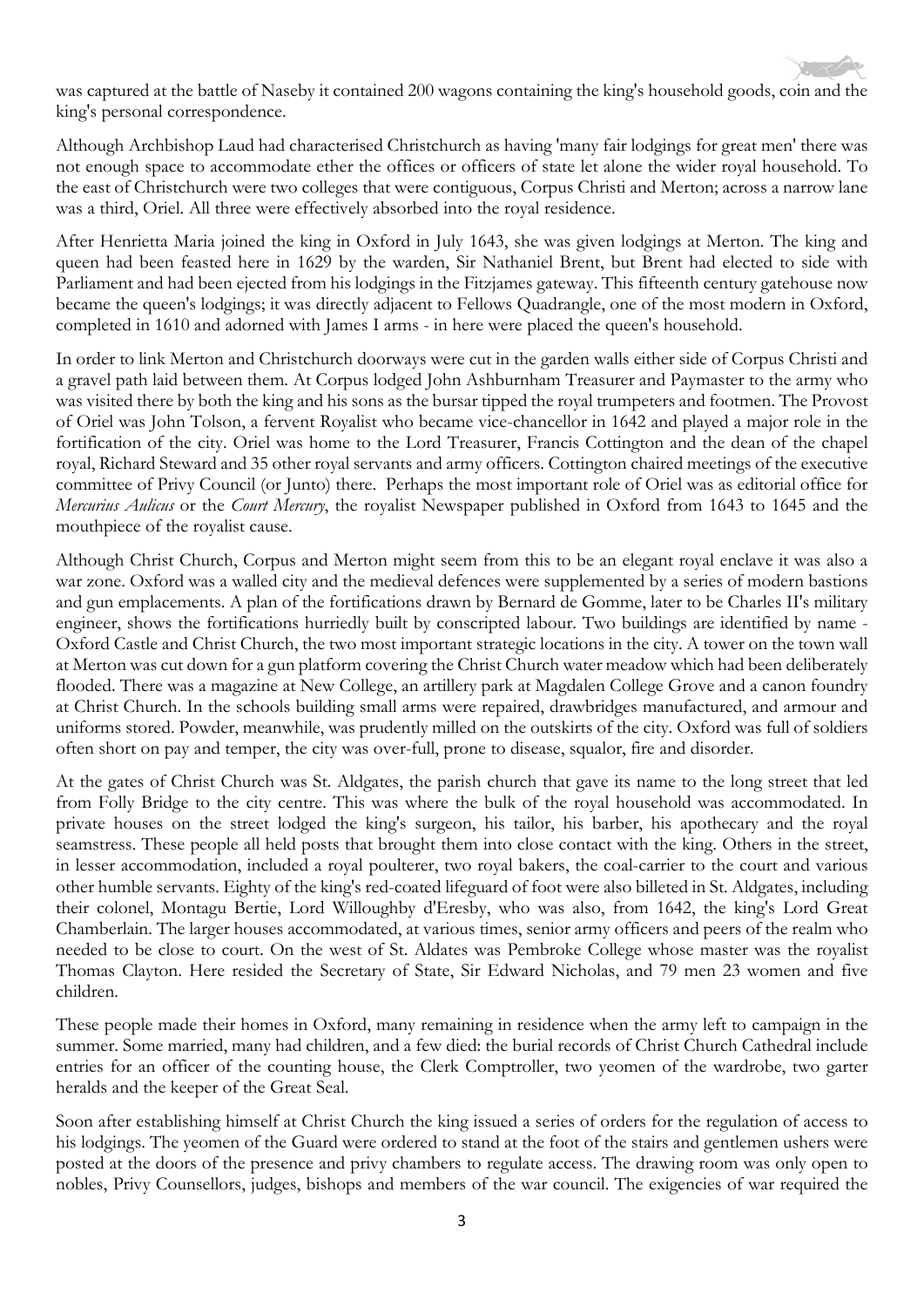was captured at the battle of Naseby it contained 200 wagons containing the king's household goods, coin and the king's personal correspondence.

Although Archbishop Laud had characterised Christchurch as having 'many fair lodgings for great men' there was not enough space to accommodate ether the offices or officers of state let alone the wider royal household. To the east of Christchurch were two colleges that were contiguous, Corpus Christi and Merton; across a narrow lane was a third, Oriel. All three were effectively absorbed into the royal residence.

After Henrietta Maria joined the king in Oxford in July 1643, she was given lodgings at Merton. The king and queen had been feasted here in 1629 by the warden, Sir Nathaniel Brent, but Brent had elected to side with Parliament and had been ejected from his lodgings in the Fitzjames gateway. This fifteenth century gatehouse now became the queen's lodgings; it was directly adjacent to Fellows Quadrangle, one of the most modern in Oxford, completed in 1610 and adorned with James I arms - in here were placed the queen's household.

In order to link Merton and Christchurch doorways were cut in the garden walls either side of Corpus Christi and a gravel path laid between them. At Corpus lodged John Ashburnham Treasurer and Paymaster to the army who was visited there by both the king and his sons as the bursar tipped the royal trumpeters and footmen. The Provost of Oriel was John Tolson, a fervent Royalist who became vice-chancellor in 1642 and played a major role in the fortification of the city. Oriel was home to the Lord Treasurer, Francis Cottington and the dean of the chapel royal, Richard Steward and 35 other royal servants and army officers. Cottington chaired meetings of the executive committee of Privy Council (or Junto) there. Perhaps the most important role of Oriel was as editorial office for *Mercurius Aulicus* or the *Court Mercury*, the royalist Newspaper published in Oxford from 1643 to 1645 and the mouthpiece of the royalist cause.

Although Christ Church, Corpus and Merton might seem from this to be an elegant royal enclave it was also a war zone. Oxford was a walled city and the medieval defences were supplemented by a series of modern bastions and gun emplacements. A plan of the fortifications drawn by Bernard de Gomme, later to be Charles II's military engineer, shows the fortifications hurriedly built by conscripted labour. Two buildings are identified by name - Oxford Castle and Christ Church, the two most important strategic locations in the city. A tower on the town wall at Merton was cut down for a gun platform covering the Christ Church water meadow which had been deliberately flooded. There was a magazine at New College, an artillery park at Magdalen College Grove and a canon foundry at Christ Church. In the schools building small arms were repaired, drawbridges manufactured, and armour and uniforms stored. Powder, meanwhile, was prudently milled on the outskirts of the city. Oxford was full of soldiers often short on pay and temper, the city was over-full, prone to disease, squalor, fire and disorder.

At the gates of Christ Church was St. Aldgates, the parish church that gave its name to the long street that led from Folly Bridge to the city centre. This was where the bulk of the royal household was accommodated. In private houses on the street lodged the king's surgeon, his tailor, his barber, his apothecary and the royal seamstress. These people all held posts that brought them into close contact with the king. Others in the street, in lesser accommodation, included a royal poulterer, two royal bakers, the coal-carrier to the court and various other humble servants. Eighty of the king's red-coated lifeguard of foot were also billeted in St. Aldgates, including their colonel, Montagu Bertie, Lord Willoughby d'Eresby, who was also, from 1642, the king's Lord Great Chamberlain. The larger houses accommodated, at various times, senior army officers and peers of the realm who needed to be close to court. On the west of St. Aldates was Pembroke College whose master was the royalist Thomas Clayton. Here resided the Secretary of State, Sir Edward Nicholas, and 79 men 23 women and five children.

These people made their homes in Oxford, many remaining in residence when the army left to campaign in the summer. Some married, many had children, and a few died: the burial records of Christ Church Cathedral include entries for an officer of the counting house, the Clerk Comptroller, two yeomen of the wardrobe, two garter heralds and the keeper of the Great Seal.

Soon after establishing himself at Christ Church the king issued a series of orders for the regulation of access to his lodgings. The yeomen of the Guard were ordered to stand at the foot of the stairs and gentlemen ushers were posted at the doors of the presence and privy chambers to regulate access. The drawing room was only open to nobles, Privy Counsellors, judges, bishops and members of the war council. The exigencies of war required the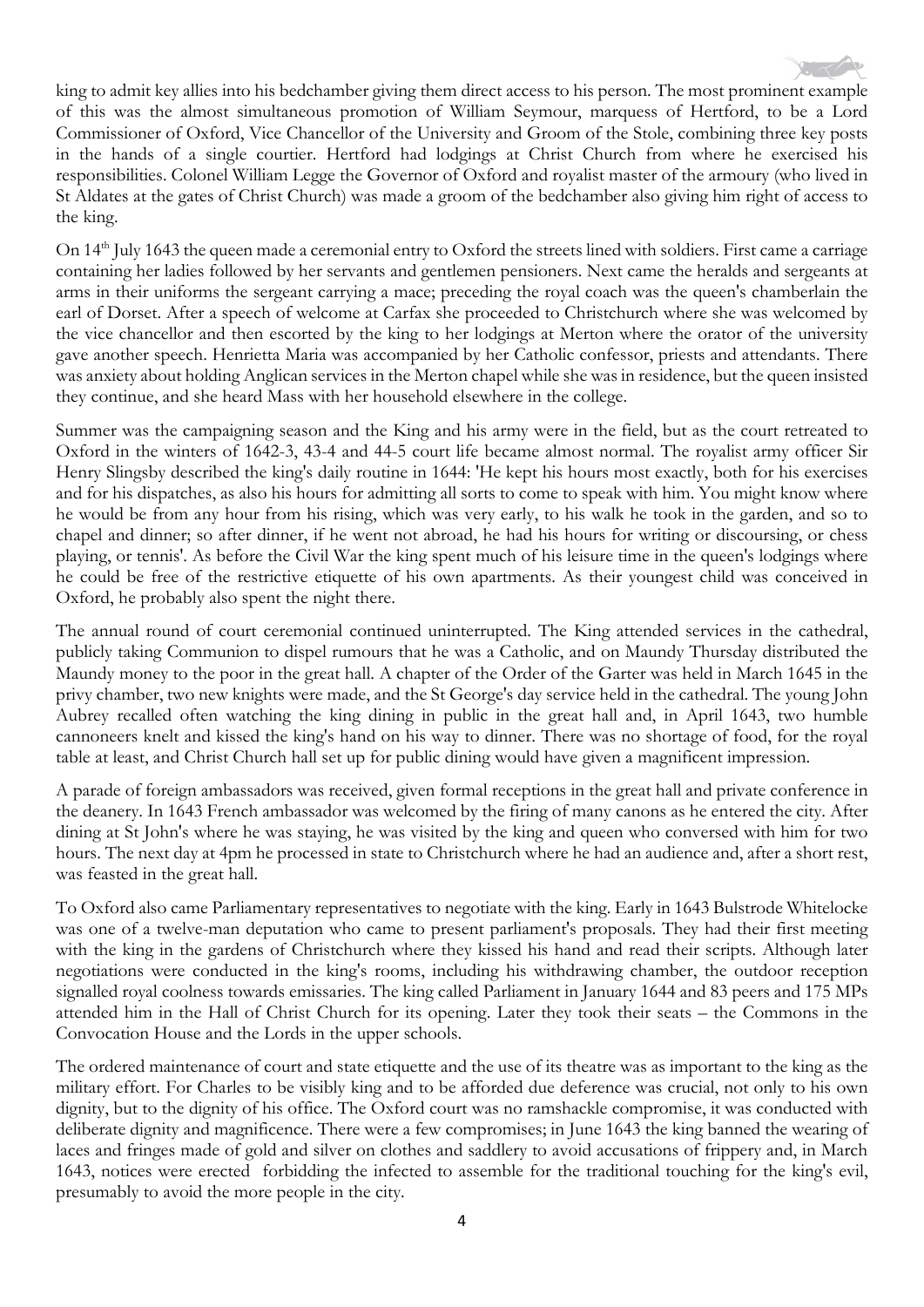

On 14<sup>th</sup> July 1643 the queen made a ceremonial entry to Oxford the streets lined with soldiers. First came a carriage containing her ladies followed by her servants and gentlemen pensioners. Next came the heralds and sergeants at arms in their uniforms the sergeant carrying a mace; preceding the royal coach was the queen's chamberlain the earl of Dorset. After a speech of welcome at Carfax she proceeded to Christchurch where she was welcomed by the vice chancellor and then escorted by the king to her lodgings at Merton where the orator of the university gave another speech. Henrietta Maria was accompanied by her Catholic confessor, priests and attendants. There was anxiety about holding Anglican services in the Merton chapel while she was in residence, but the queen insisted they continue, and she heard Mass with her household elsewhere in the college.

Summer was the campaigning season and the King and his army were in the field, but as the court retreated to Oxford in the winters of 1642-3, 43-4 and 44-5 court life became almost normal. The royalist army officer Sir Henry Slingsby described the king's daily routine in 1644: 'He kept his hours most exactly, both for his exercises and for his dispatches, as also his hours for admitting all sorts to come to speak with him. You might know where he would be from any hour from his rising, which was very early, to his walk he took in the garden, and so to chapel and dinner; so after dinner, if he went not abroad, he had his hours for writing or discoursing, or chess playing, or tennis'. As before the Civil War the king spent much of his leisure time in the queen's lodgings where he could be free of the restrictive etiquette of his own apartments. As their youngest child was conceived in Oxford, he probably also spent the night there.

The annual round of court ceremonial continued uninterrupted. The King attended services in the cathedral, publicly taking Communion to dispel rumours that he was a Catholic, and on Maundy Thursday distributed the Maundy money to the poor in the great hall. A chapter of the Order of the Garter was held in March 1645 in the privy chamber, two new knights were made, and the St George's day service held in the cathedral. The young John Aubrey recalled often watching the king dining in public in the great hall and, in April 1643, two humble cannoneers knelt and kissed the king's hand on his way to dinner. There was no shortage of food, for the royal table at least, and Christ Church hall set up for public dining would have given a magnificent impression.

A parade of foreign ambassadors was received, given formal receptions in the great hall and private conference in the deanery. In 1643 French ambassador was welcomed by the firing of many canons as he entered the city. After dining at St John's where he was staying, he was visited by the king and queen who conversed with him for two hours. The next day at 4pm he processed in state to Christchurch where he had an audience and, after a short rest, was feasted in the great hall.

To Oxford also came Parliamentary representatives to negotiate with the king. Early in 1643 Bulstrode Whitelocke was one of a twelve-man deputation who came to present parliament's proposals. They had their first meeting with the king in the gardens of Christchurch where they kissed his hand and read their scripts. Although later negotiations were conducted in the king's rooms, including his withdrawing chamber, the outdoor reception signalled royal coolness towards emissaries. The king called Parliament in January 1644 and 83 peers and 175 MPs attended him in the Hall of Christ Church for its opening. Later they took their seats – the Commons in the Convocation House and the Lords in the upper schools.

The ordered maintenance of court and state etiquette and the use of its theatre was as important to the king as the military effort. For Charles to be visibly king and to be afforded due deference was crucial, not only to his own dignity, but to the dignity of his office. The Oxford court was no ramshackle compromise, it was conducted with deliberate dignity and magnificence. There were a few compromises; in June 1643 the king banned the wearing of laces and fringes made of gold and silver on clothes and saddlery to avoid accusations of frippery and, in March 1643, notices were erected forbidding the infected to assemble for the traditional touching for the king's evil, presumably to avoid the more people in the city.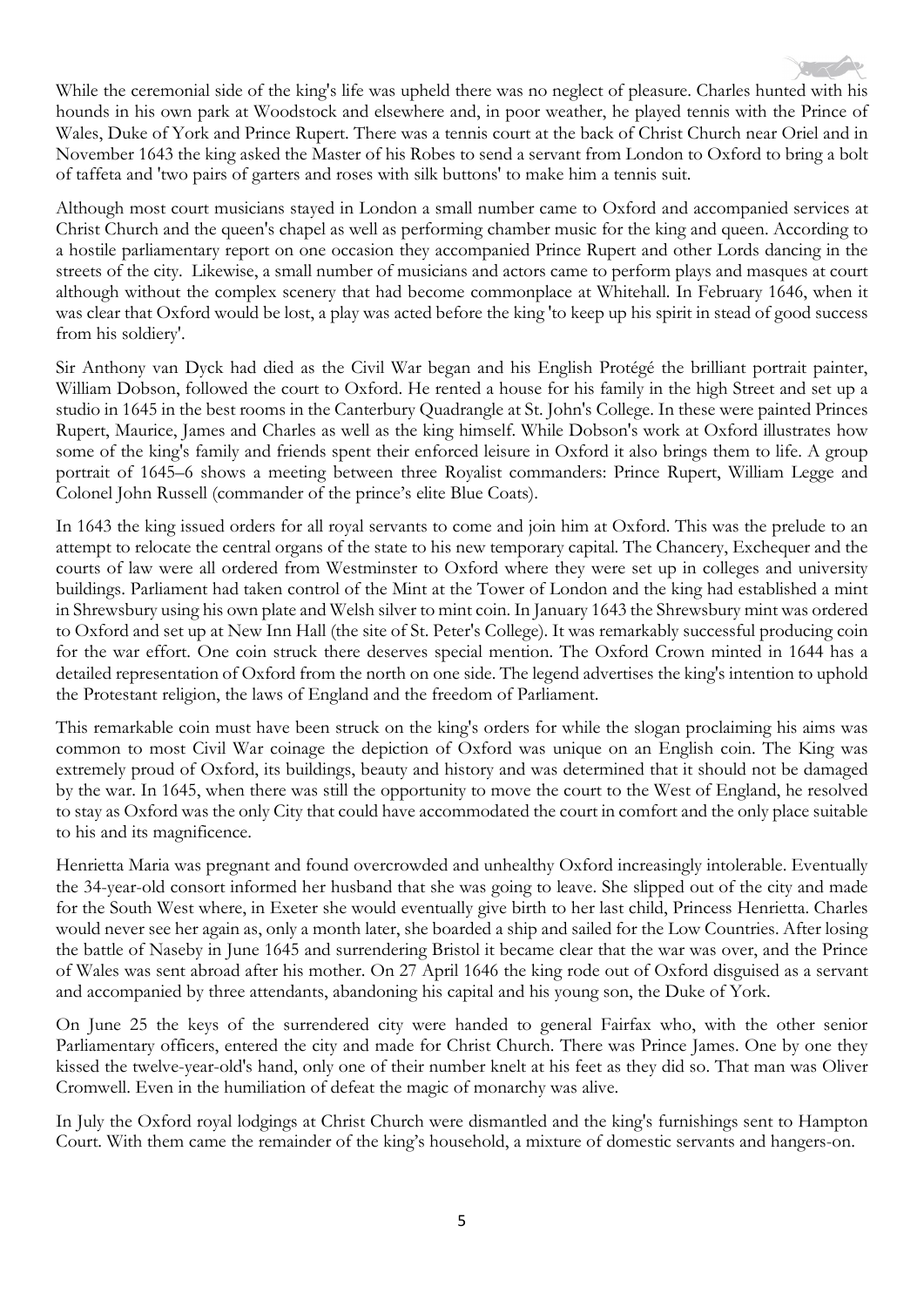

While the ceremonial side of the king's life was upheld there was no neglect of pleasure. Charles hunted with his hounds in his own park at Woodstock and elsewhere and, in poor weather, he played tennis with the Prince of Wales, Duke of York and Prince Rupert. There was a tennis court at the back of Christ Church near Oriel and in November 1643 the king asked the Master of his Robes to send a servant from London to Oxford to bring a bolt of taffeta and 'two pairs of garters and roses with silk buttons' to make him a tennis suit.

Although most court musicians stayed in London a small number came to Oxford and accompanied services at Christ Church and the queen's chapel as well as performing chamber music for the king and queen. According to a hostile parliamentary report on one occasion they accompanied Prince Rupert and other Lords dancing in the streets of the city. Likewise, a small number of musicians and actors came to perform plays and masques at court although without the complex scenery that had become commonplace at Whitehall. In February 1646, when it was clear that Oxford would be lost, a play was acted before the king 'to keep up his spirit in stead of good success from his soldiery'.

Sir Anthony van Dyck had died as the Civil War began and his English Protégé the brilliant portrait painter, William Dobson, followed the court to Oxford. He rented a house for his family in the high Street and set up a studio in 1645 in the best rooms in the Canterbury Quadrangle at St. John's College. In these were painted Princes Rupert, Maurice, James and Charles as well as the king himself. While Dobson's work at Oxford illustrates how some of the king's family and friends spent their enforced leisure in Oxford it also brings them to life. A group portrait of 1645–6 shows a meeting between three Royalist commanders: Prince Rupert, William Legge and Colonel John Russell (commander of the prince's elite Blue Coats).

In 1643 the king issued orders for all royal servants to come and join him at Oxford. This was the prelude to an attempt to relocate the central organs of the state to his new temporary capital. The Chancery, Exchequer and the courts of law were all ordered from Westminster to Oxford where they were set up in colleges and university buildings. Parliament had taken control of the Mint at the Tower of London and the king had established a mint in Shrewsbury using his own plate and Welsh silver to mint coin. In January 1643 the Shrewsbury mint was ordered to Oxford and set up at New Inn Hall (the site of St. Peter's College). It was remarkably successful producing coin for the war effort. One coin struck there deserves special mention. The Oxford Crown minted in 1644 has a detailed representation of Oxford from the north on one side. The legend advertises the king's intention to uphold the Protestant religion, the laws of England and the freedom of Parliament.

This remarkable coin must have been struck on the king's orders for while the slogan proclaiming his aims was common to most Civil War coinage the depiction of Oxford was unique on an English coin. The King was extremely proud of Oxford, its buildings, beauty and history and was determined that it should not be damaged by the war. In 1645, when there was still the opportunity to move the court to the West of England, he resolved to stay as Oxford was the only City that could have accommodated the court in comfort and the only place suitable to his and its magnificence.

Henrietta Maria was pregnant and found overcrowded and unhealthy Oxford increasingly intolerable. Eventually the 34-year-old consort informed her husband that she was going to leave. She slipped out of the city and made for the South West where, in Exeter she would eventually give birth to her last child, Princess Henrietta. Charles would never see her again as, only a month later, she boarded a ship and sailed for the Low Countries. After losing the battle of Naseby in June 1645 and surrendering Bristol it became clear that the war was over, and the Prince of Wales was sent abroad after his mother. On 27 April 1646 the king rode out of Oxford disguised as a servant and accompanied by three attendants, abandoning his capital and his young son, the Duke of York.

On June 25 the keys of the surrendered city were handed to general Fairfax who, with the other senior Parliamentary officers, entered the city and made for Christ Church. There was Prince James. One by one they kissed the twelve-year-old's hand, only one of their number knelt at his feet as they did so. That man was Oliver Cromwell. Even in the humiliation of defeat the magic of monarchy was alive.

In July the Oxford royal lodgings at Christ Church were dismantled and the king's furnishings sent to Hampton Court. With them came the remainder of the king's household, a mixture of domestic servants and hangers-on.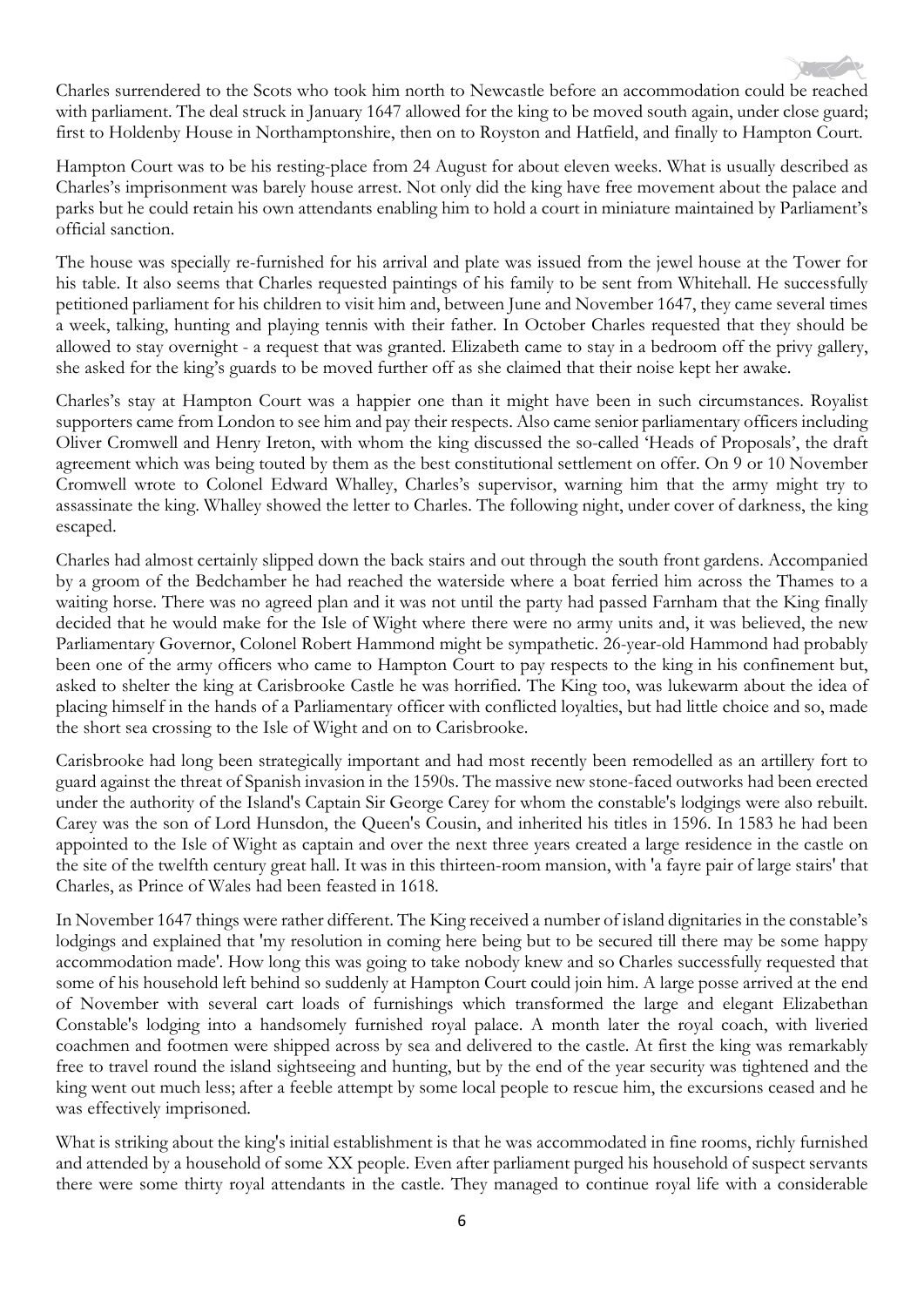

Charles surrendered to the Scots who took him north to Newcastle before an accommodation could be reached with parliament. The deal struck in January 1647 allowed for the king to be moved south again, under close guard; first to Holdenby House in Northamptonshire, then on to Royston and Hatfield, and finally to Hampton Court.

Hampton Court was to be his resting-place from 24 August for about eleven weeks. What is usually described as Charles's imprisonment was barely house arrest. Not only did the king have free movement about the palace and parks but he could retain his own attendants enabling him to hold a court in miniature maintained by Parliament's official sanction.

The house was specially re-furnished for his arrival and plate was issued from the jewel house at the Tower for his table. It also seems that Charles requested paintings of his family to be sent from Whitehall. He successfully petitioned parliament for his children to visit him and, between June and November 1647, they came several times a week, talking, hunting and playing tennis with their father. In October Charles requested that they should be allowed to stay overnight - a request that was granted. Elizabeth came to stay in a bedroom off the privy gallery, she asked for the king's guards to be moved further off as she claimed that their noise kept her awake.

Charles's stay at Hampton Court was a happier one than it might have been in such circumstances. Royalist supporters came from London to see him and pay their respects. Also came senior parliamentary officers including Oliver Cromwell and Henry Ireton, with whom the king discussed the so-called 'Heads of Proposals', the draft agreement which was being touted by them as the best constitutional settlement on offer. On 9 or 10 November Cromwell wrote to Colonel Edward Whalley, Charles's supervisor, warning him that the army might try to assassinate the king. Whalley showed the letter to Charles. The following night, under cover of darkness, the king escaped.

Charles had almost certainly slipped down the back stairs and out through the south front gardens. Accompanied by a groom of the Bedchamber he had reached the waterside where a boat ferried him across the Thames to a waiting horse. There was no agreed plan and it was not until the party had passed Farnham that the King finally decided that he would make for the Isle of Wight where there were no army units and, it was believed, the new Parliamentary Governor, Colonel Robert Hammond might be sympathetic. 26-year-old Hammond had probably been one of the army officers who came to Hampton Court to pay respects to the king in his confinement but, asked to shelter the king at Carisbrooke Castle he was horrified. The King too, was lukewarm about the idea of placing himself in the hands of a Parliamentary officer with conflicted loyalties, but had little choice and so, made the short sea crossing to the Isle of Wight and on to Carisbrooke.

Carisbrooke had long been strategically important and had most recently been remodelled as an artillery fort to guard against the threat of Spanish invasion in the 1590s. The massive new stone-faced outworks had been erected under the authority of the Island's Captain Sir George Carey for whom the constable's lodgings were also rebuilt. Carey was the son of Lord Hunsdon, the Queen's Cousin, and inherited his titles in 1596. In 1583 he had been appointed to the Isle of Wight as captain and over the next three years created a large residence in the castle on the site of the twelfth century great hall. It was in this thirteen-room mansion, with 'a fayre pair of large stairs' that Charles, as Prince of Wales had been feasted in 1618.

In November 1647 things were rather different. The King received a number of island dignitaries in the constable's lodgings and explained that 'my resolution in coming here being but to be secured till there may be some happy accommodation made'. How long this was going to take nobody knew and so Charles successfully requested that some of his household left behind so suddenly at Hampton Court could join him. A large posse arrived at the end of November with several cart loads of furnishings which transformed the large and elegant Elizabethan Constable's lodging into a handsomely furnished royal palace. A month later the royal coach, with liveried coachmen and footmen were shipped across by sea and delivered to the castle. At first the king was remarkably free to travel round the island sightseeing and hunting, but by the end of the year security was tightened and the king went out much less; after a feeble attempt by some local people to rescue him, the excursions ceased and he was effectively imprisoned.

What is striking about the king's initial establishment is that he was accommodated in fine rooms, richly furnished and attended by a household of some XX people. Even after parliament purged his household of suspect servants there were some thirty royal attendants in the castle. They managed to continue royal life with a considerable